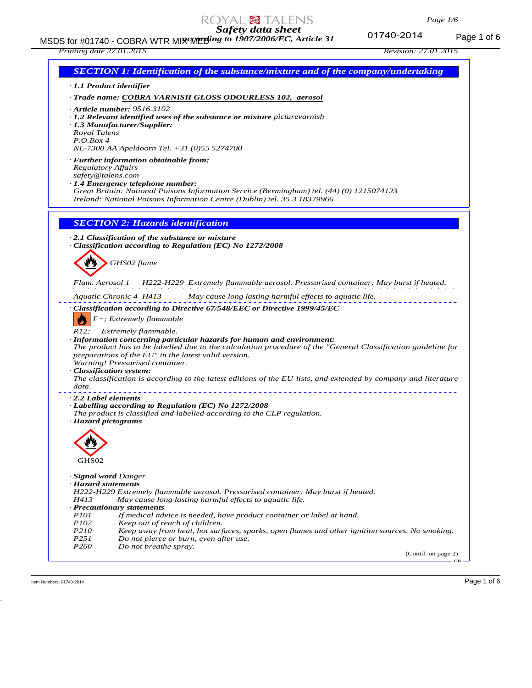# *Page 1/6*

# *Safety data sheet*

#### MSDS for #01740 - COBRA WTR MIX WERDING to 1907/2006/EC, Article 31 MSDS for #01740-2014 *according to 1907/2006/EC, Article 31*

01740-2014

### *Printing date 27.01.2015 Revision: 27.01.2015*

|                             | <b>SECTION 1: Identification of the substance/mixture and of the company/undertaking</b>                                                                                                                                                                                                                                                                                                                                                                |
|-----------------------------|---------------------------------------------------------------------------------------------------------------------------------------------------------------------------------------------------------------------------------------------------------------------------------------------------------------------------------------------------------------------------------------------------------------------------------------------------------|
|                             | · 1.1 Product identifier                                                                                                                                                                                                                                                                                                                                                                                                                                |
|                             | · Trade name: COBRA VARNISH GLOSS ODOURLESS 102, aerosol                                                                                                                                                                                                                                                                                                                                                                                                |
| Royal Talens<br>P. O. Box 4 | $\cdot$ Article number: 9516.3102<br>$\cdot$ 1.2 Relevant identified uses of the substance or mixture picturevarnish<br>$\cdot$ 1.3 Manufacturer/Supplier:<br>NL-7300 AA Apeldoorn Tel. +31 (0)55 5274700                                                                                                                                                                                                                                               |
|                             | · Further information obtainable from:<br><b>Regulatory Affairs</b><br>safety@talens.com<br>$\cdot$ 1.4 Emergency telephone number:<br>Great Britain: National Poisons Information Service (Bermingham) tel. (44) (0) 1215074123<br>Ireland: National Poisons Information Centre (Dublin) tel. 35 3 18379966                                                                                                                                            |
|                             | <b>SECTION 2: Hazards identification</b>                                                                                                                                                                                                                                                                                                                                                                                                                |
|                             | $\cdot$ 2.1 Classification of the substance or mixture                                                                                                                                                                                                                                                                                                                                                                                                  |
|                             | $\cdot$ Classification according to Regulation (EC) No 1272/2008                                                                                                                                                                                                                                                                                                                                                                                        |
|                             | GHS02 flame                                                                                                                                                                                                                                                                                                                                                                                                                                             |
| Flam. Aerosol 1             | H222-H229 Extremely flammable aerosol. Pressurised container: May burst if heated.                                                                                                                                                                                                                                                                                                                                                                      |
|                             | May cause long lasting harmful effects to aquatic life.<br>Aquatic Chronic 4 H413                                                                                                                                                                                                                                                                                                                                                                       |
|                             |                                                                                                                                                                                                                                                                                                                                                                                                                                                         |
|                             | · Classification according to Directive 67/548/EEC or Directive 1999/45/EC                                                                                                                                                                                                                                                                                                                                                                              |
|                             | F+; Extremely flammable                                                                                                                                                                                                                                                                                                                                                                                                                                 |
| R12:<br>data.               | Extremely flammable.<br>· Information concerning particular hazards for human and environment:<br>The product has to be labelled due to the calculation procedure of the "General Classification guideline for<br>preparations of the EU" in the latest valid version.<br>Warning! Pressurised container.<br>· Classification system:<br>The classification is according to the latest editions of the EU-lists, and extended by company and literature |
| 2.2 Label elements          |                                                                                                                                                                                                                                                                                                                                                                                                                                                         |
|                             | · Labelling according to Regulation (EC) No 1272/2008<br>The product is classified and labelled according to the CLP regulation.<br>· Hazard pictograms                                                                                                                                                                                                                                                                                                 |
|                             |                                                                                                                                                                                                                                                                                                                                                                                                                                                         |
| GHS02                       |                                                                                                                                                                                                                                                                                                                                                                                                                                                         |
| · Hazard statements         | · <b>Signal word</b> Danger                                                                                                                                                                                                                                                                                                                                                                                                                             |
| H413                        | H222-H229 Extremely flammable aerosol. Pressurised container: May burst if heated.<br>May cause long lasting harmful effects to aquatic life.<br>· Precautionary statements                                                                                                                                                                                                                                                                             |
| P101                        | If medical advice is needed, have product container or label at hand.                                                                                                                                                                                                                                                                                                                                                                                   |
| P102<br>P210                | Keep out of reach of children.<br>Keep away from heat, hot surfaces, sparks, open flames and other ignition sources. No smoking.                                                                                                                                                                                                                                                                                                                        |
| P251                        | Do not pierce or burn, even after use.                                                                                                                                                                                                                                                                                                                                                                                                                  |
| P260                        | Do not breathe spray.<br>(Contd. on page 2)                                                                                                                                                                                                                                                                                                                                                                                                             |
|                             |                                                                                                                                                                                                                                                                                                                                                                                                                                                         |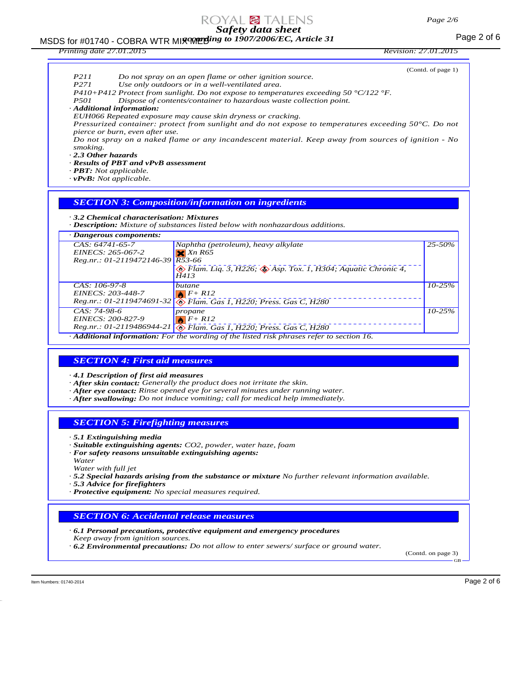#### MSDS for #01740 - COBRA WTR MIX WE Mix to 1907/2006/EC, Article 31 *according to 1907/2006/EC, Article 31*

# *Printing date 27.01.2015 Revision: 27.01.2015*

*Page 2/6*

| P211<br>P271<br><i>P501</i><br>· Additional information:<br>pierce or burn, even after use.<br>smoking.<br>. 2.3 Other hazards<br>· Results of PBT and vPvB assessment                                                   | Do not spray on an open flame or other ignition source.<br>Use only outdoors or in a well-ventilated area.<br>P410+P412 Protect from sunlight. Do not expose to temperatures exceeding 50 °C/122 °F.<br>Dispose of contents/container to hazardous waste collection point.<br>EUH066 Repeated exposure may cause skin dryness or cracking.<br>Pressurized container: protect from sunlight and do not expose to temperatures exceeding $50^{\circ}$ C. Do not<br>Do not spray on a naked flame or any incandescent material. Keep away from sources of ignition - No | (Contd. of page 1) |
|--------------------------------------------------------------------------------------------------------------------------------------------------------------------------------------------------------------------------|----------------------------------------------------------------------------------------------------------------------------------------------------------------------------------------------------------------------------------------------------------------------------------------------------------------------------------------------------------------------------------------------------------------------------------------------------------------------------------------------------------------------------------------------------------------------|--------------------|
| $\cdot$ <b>PBT</b> : Not applicable.                                                                                                                                                                                     |                                                                                                                                                                                                                                                                                                                                                                                                                                                                                                                                                                      |                    |
| $\cdot$ vPvB: Not applicable.                                                                                                                                                                                            |                                                                                                                                                                                                                                                                                                                                                                                                                                                                                                                                                                      |                    |
|                                                                                                                                                                                                                          | <b>SECTION 3: Composition/information on ingredients</b>                                                                                                                                                                                                                                                                                                                                                                                                                                                                                                             |                    |
| 3.2 Chemical characterisation: Mixtures                                                                                                                                                                                  |                                                                                                                                                                                                                                                                                                                                                                                                                                                                                                                                                                      |                    |
|                                                                                                                                                                                                                          | · Description: Mixture of substances listed below with nonhazardous additions.                                                                                                                                                                                                                                                                                                                                                                                                                                                                                       |                    |
| · Dangerous components:                                                                                                                                                                                                  |                                                                                                                                                                                                                                                                                                                                                                                                                                                                                                                                                                      |                    |
| CAS: 64741-65-7<br>EINECS: 265-067-2<br>Reg.nr.: 01-2119472146-39 R53-66                                                                                                                                                 | Naphtha (petroleum), heavy alkylate<br>$X$ Xn R65<br>$\otimes$ Flam. Liq. 3, H226; $\otimes$ Asp. Tox. 1, H304; Aquatic Chronic 4,<br>H413                                                                                                                                                                                                                                                                                                                                                                                                                           | 25-50%             |
| CAS: 106-97-8<br>EINECS: 203-448-7<br>Reg.nr.: 01-2119474691-32                                                                                                                                                          | butane<br>$F+R12$<br>Flam. Gas 1, H220; Press. Gas C, H280                                                                                                                                                                                                                                                                                                                                                                                                                                                                                                           | $10 - 25%$         |
| CAS: 74-98-6<br>EINECS: 200-827-9                                                                                                                                                                                        | propane<br>$F + R12$<br>Reg.nr.: 01-2119486944-21 3 Flam. Gas 1, H220; Press. Gas C, H280                                                                                                                                                                                                                                                                                                                                                                                                                                                                            | $10 - 25%$         |
|                                                                                                                                                                                                                          | Additional information: For the wording of the listed risk phrases refer to section 16.                                                                                                                                                                                                                                                                                                                                                                                                                                                                              |                    |
|                                                                                                                                                                                                                          |                                                                                                                                                                                                                                                                                                                                                                                                                                                                                                                                                                      |                    |
| <b>SECTION 4: First aid measures</b>                                                                                                                                                                                     |                                                                                                                                                                                                                                                                                                                                                                                                                                                                                                                                                                      |                    |
| 4.1 Description of first aid measures                                                                                                                                                                                    | After skin contact: Generally the product does not irritate the skin.<br>$\cdot$ After eye contact: Rinse opened eye for several minutes under running water.<br>$\cdot$ After swallowing: Do not induce vomiting; call for medical help immediately.                                                                                                                                                                                                                                                                                                                |                    |
| <b>SECTION 5: Firefighting measures</b>                                                                                                                                                                                  |                                                                                                                                                                                                                                                                                                                                                                                                                                                                                                                                                                      |                    |
| $\cdot$ 5.1 Extinguishing media<br>· For safety reasons unsuitable extinguishing agents:<br>Water<br>Water with full jet<br>$\cdot$ 5.3 Advice for firefighters<br>· Protective equipment: No special measures required. | Suitable extinguishing agents: CO2, powder, water haze, foam<br>.5.2 Special hazards arising from the substance or mixture No further relevant information available.                                                                                                                                                                                                                                                                                                                                                                                                |                    |
| <b>SECTION 6: Accidental release measures</b>                                                                                                                                                                            | $\cdot$ 6.1 Personal precautions, protective equipment and emergency procedures                                                                                                                                                                                                                                                                                                                                                                                                                                                                                      |                    |

*Keep away from ignition sources.*

*· 6.2 Environmental precautions: Do not allow to enter sewers/ surface or ground water.*

(Contd. on page 3)

GB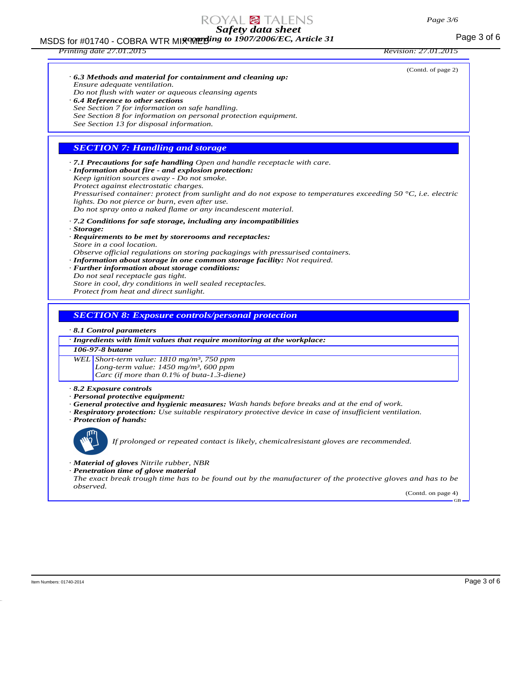#### MSDS for #01740 - COBRA WTR MIX WERE to 1907/2006/EC, Article 31 *according to 1907/2006/EC, Article 31*

## *Printing date 27.01.2015 Revision: 27.01.2015*

|                                                                                                                                                                                                                                            | (Contd. of page 2) |
|--------------------------------------------------------------------------------------------------------------------------------------------------------------------------------------------------------------------------------------------|--------------------|
| $\cdot$ 6.3 Methods and material for containment and cleaning up:                                                                                                                                                                          |                    |
| Ensure adequate ventilation.<br>Do not flush with water or aqueous cleansing agents                                                                                                                                                        |                    |
| $\cdot$ 6.4 Reference to other sections                                                                                                                                                                                                    |                    |
| See Section 7 for information on safe handling.                                                                                                                                                                                            |                    |
| See Section 8 for information on personal protection equipment.                                                                                                                                                                            |                    |
| See Section 13 for disposal information.                                                                                                                                                                                                   |                    |
| <b>SECTION 7: Handling and storage</b>                                                                                                                                                                                                     |                    |
| .7.1 Precautions for safe handling Open and handle receptacle with care.<br>· Information about fire - and explosion protection:<br>Keep ignition sources away - Do not smoke.                                                             |                    |
| Protect against electrostatic charges.                                                                                                                                                                                                     |                    |
| Pressurised container: protect from sunlight and do not expose to temperatures exceeding 50 $^{\circ}$ C, i.e. electric<br>lights. Do not pierce or burn, even after use.<br>Do not spray onto a naked flame or any incandescent material. |                    |
| $\cdot$ 7.2 Conditions for safe storage, including any incompatibilities<br>· Storage:                                                                                                                                                     |                    |
| · Requirements to be met by storerooms and receptacles:                                                                                                                                                                                    |                    |
| Store in a cool location.                                                                                                                                                                                                                  |                    |
| Observe official regulations on storing packagings with pressurised containers.<br>· Information about storage in one common storage facility: Not required.                                                                               |                    |
| · Further information about storage conditions:                                                                                                                                                                                            |                    |
| Do not seal receptacle gas tight.                                                                                                                                                                                                          |                    |
| Store in cool, dry conditions in well sealed receptacles.                                                                                                                                                                                  |                    |
| Protect from heat and direct sunlight.                                                                                                                                                                                                     |                    |
|                                                                                                                                                                                                                                            |                    |
| <b>SECTION 8: Exposure controls/personal protection</b>                                                                                                                                                                                    |                    |
| 8.1 Control parameters                                                                                                                                                                                                                     |                    |
| · Ingredients with limit values that require monitoring at the workplace:                                                                                                                                                                  |                    |
| 106-97-8 butane                                                                                                                                                                                                                            |                    |
| WEL Short-term value: $1810$ mg/m <sup>3</sup> , 750 ppm                                                                                                                                                                                   |                    |
| Long-term value: 1450 mg/m <sup>3</sup> , 600 ppm<br>Carc (if more than 0.1% of buta-1.3-diene)                                                                                                                                            |                    |
| 8.2 Exposure controls                                                                                                                                                                                                                      |                    |
| · Personal protective equipment:                                                                                                                                                                                                           |                    |
| General protective and hygienic measures: Wash hands before breaks and at the end of work.                                                                                                                                                 |                    |
| · Respiratory protection: Use suitable respiratory protective device in case of insufficient ventilation.<br>· Protection of hands:                                                                                                        |                    |
| If prolonged or repeated contact is likely, chemicalresistant gloves are recommended.                                                                                                                                                      |                    |
|                                                                                                                                                                                                                                            |                    |
| · Material of gloves Nitrile rubber, NBR<br>· Penetration time of glove material                                                                                                                                                           |                    |
| The exact break trough time has to be found out by the manufacturer of the protective gloves and has to be<br>observed.                                                                                                                    |                    |
|                                                                                                                                                                                                                                            | (Contd. on page 4) |

GB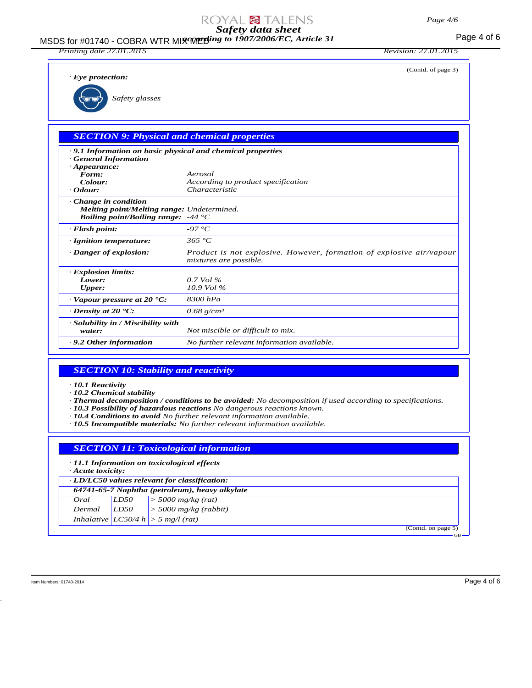# MSDS for #01740 - COBRA WTR MI**x we ding to 1907/2006/EC, Article 31** Page 4 of 6

*Printing date 27.01.2015 Revision: 27.01.2015*

(Contd. of page 3)

*· Eye protection:*

*Safety glasses*

|  | <b>SECTION 9: Physical and chemical properties</b> |  |
|--|----------------------------------------------------|--|
|  |                                                    |  |

| $\cdot$ 9.1 Information on basic physical and chemical properties<br>· General Information<br>$\cdot$ Appearance:<br>Form:              | Aerosol                                                                                        |
|-----------------------------------------------------------------------------------------------------------------------------------------|------------------------------------------------------------------------------------------------|
| Colour:                                                                                                                                 |                                                                                                |
| $\cdot$ Odour:                                                                                                                          | According to product specification<br><i>Characteristic</i>                                    |
|                                                                                                                                         |                                                                                                |
| $\cdot$ Change in condition<br><b>Melting point/Melting range:</b> Undetermined.<br><i>Boiling point/Boiling range:</i> $-44^{\circ}$ C |                                                                                                |
| $\cdot$ Flash point:                                                                                                                    | -97 °C                                                                                         |
| · Ignition temperature:                                                                                                                 | 365 °C                                                                                         |
| · Danger of explosion:                                                                                                                  | Product is not explosive. However, formation of explosive air/vapour<br>mixtures are possible. |
| · Explosion limits:                                                                                                                     |                                                                                                |
| Lower:                                                                                                                                  | $0.7$ Vol %                                                                                    |
| <b>Upper:</b>                                                                                                                           | $10.9$ Vol %                                                                                   |
| $\cdot$ Vapour pressure at 20 $\cdot$ C:                                                                                                | 8300 hPa                                                                                       |
| $\cdot$ Density at 20 $\textdegree$ C:                                                                                                  | $0.68$ g/cm <sup>3</sup>                                                                       |
| · Solubility in / Miscibility with<br>water:                                                                                            | Not miscible or difficult to mix.                                                              |
| $\cdot$ 9.2 Other information                                                                                                           | No further relevant information available.                                                     |

# *SECTION 10: Stability and reactivity*

*· 10.1 Reactivity*

- *· 10.2 Chemical stability*
- *· Thermal decomposition / conditions to be avoided: No decomposition if used according to specifications.*
- *· 10.3 Possibility of hazardous reactions No dangerous reactions known.*
- *· 10.4 Conditions to avoid No further relevant information available.*
- *· 10.5 Incompatible materials: No further relevant information available.*

| $\cdot$ Acute toxicity: |      | $\cdot$ 11.1 Information on toxicological effects |  |
|-------------------------|------|---------------------------------------------------|--|
|                         |      | · LD/LC50 values relevant for classification:     |  |
|                         |      | 64741-65-7 Naphtha (petroleum), heavy alkylate    |  |
| Oral                    | LD50 | $\vert$ > 5000 mg/kg (rat)                        |  |
| Dermal                  |      | $ LDS0 $ > 5000 mg/kg (rabbit)                    |  |
|                         |      | Inhalative $LC50/4 h > 5 mg/l (rat)$              |  |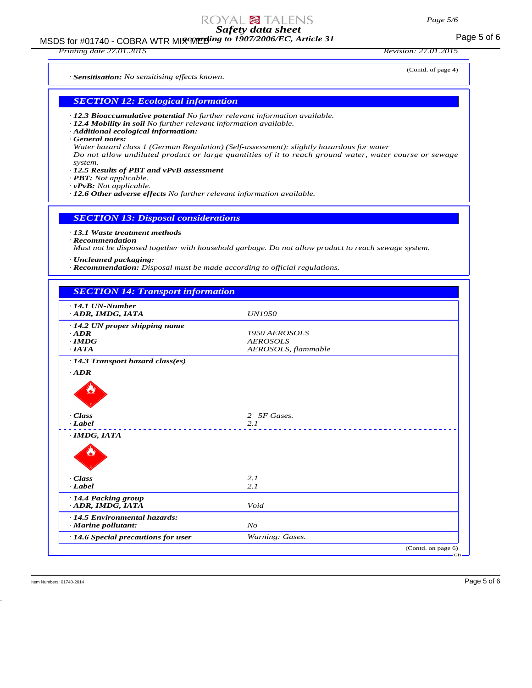# MSDS for #01740 - COBRA WTR MI**x we ding to 1907/2006/EC, Article 31** Page 5 of 6

*Printing date 27.01.2015 Revision: 27.01.2015*

(Contd. of page 4)

*· Sensitisation: No sensitising effects known.*

## *SECTION 12: Ecological information*

- *· 12.3 Bioaccumulative potential No further relevant information available.*
- *· 12.4 Mobility in soil No further relevant information available.*
- *· Additional ecological information:*
- *· General notes:*
- *Water hazard class 1 (German Regulation) (Self-assessment): slightly hazardous for water Do not allow undiluted product or large quantities of it to reach ground water, water course or sewage system.*
- *· 12.5 Results of PBT and vPvB assessment*
- *· PBT: Not applicable.*
- *· vPvB: Not applicable.*
- *· 12.6 Other adverse effects No further relevant information available.*

## *SECTION 13: Disposal considerations*

#### *· 13.1 Waste treatment methods*

*· Recommendation*

*Must not be disposed together with household garbage. Do not allow product to reach sewage system.*

- *· Uncleaned packaging:*
- *· Recommendation: Disposal must be made according to official regulations.*

| $\cdot$ 14.1 UN-Number                               |                     |  |
|------------------------------------------------------|---------------------|--|
| ADR, IMDG, IATA                                      | <b>UN1950</b>       |  |
| $\cdot$ 14.2 UN proper shipping name                 |                     |  |
| $-ADR$                                               | 1950 AEROSOLS       |  |
| $\cdot$ IMDG                                         | <b>AEROSOLS</b>     |  |
| $\cdot$ IATA                                         | AEROSOLS, flammable |  |
|                                                      |                     |  |
| · 14.3 Transport hazard class(es)                    |                     |  |
| $\cdot$ ADR                                          |                     |  |
|                                                      |                     |  |
| · Class                                              | 2 5F Gases.         |  |
| $\cdot$ Label                                        | 2.1<br>.            |  |
| $\cdot$ IMDG, IATA                                   |                     |  |
| · Class                                              | 2.1                 |  |
| · Label                                              | 2.1                 |  |
| · 14.4 Packing group<br>ADR, IMDG, IATA              | Void                |  |
| · 14.5 Environmental hazards:<br>· Marine pollutant: | N <sub>O</sub>      |  |
| · 14.6 Special precautions for user                  | Warning: Gases.     |  |

Item Numbers: 01740-2014 **Page 5 of 6**